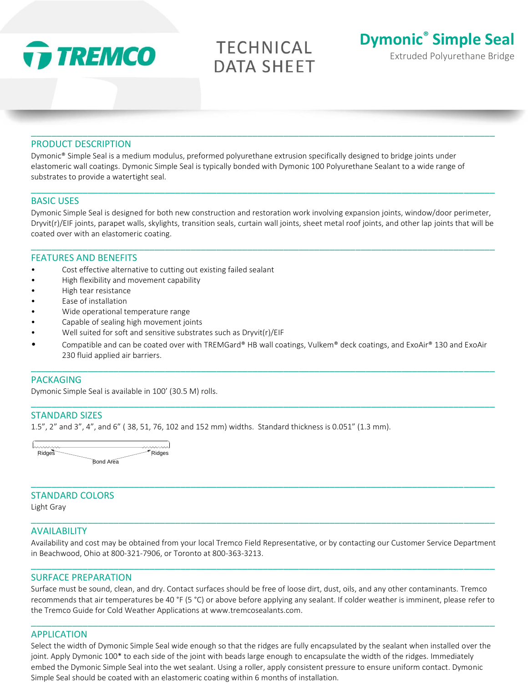

# **TECHNICAL DATA SHEET**

\_\_\_\_\_\_\_\_\_\_\_\_\_\_\_\_\_\_\_\_\_\_\_\_\_\_\_\_\_\_\_\_\_\_\_\_\_\_\_\_\_\_\_\_\_\_\_\_\_\_\_\_\_\_\_\_\_\_\_\_\_\_\_\_\_\_\_\_\_\_\_\_\_\_\_\_\_\_\_\_\_\_\_\_\_\_\_\_\_\_



# PRODUCT DESCRIPTION

Dymonic® Simple Seal is a medium modulus, preformed polyurethane extrusion specifically designed to bridge joints under elastomeric wall coatings. Dymonic Simple Seal is typically bonded with Dymonic 100 Polyurethane Sealant to a wide range of substrates to provide a watertight seal.

# BASIC USES

Dymonic Simple Seal is designed for both new construction and restoration work involving expansion joints, window/door perimeter, Dryvit(r)/EIF joints, parapet walls, skylights, transition seals, curtain wall joints, sheet metal roof joints, and other lap joints that will be coated over with an elastomeric coating.

\_\_\_\_\_\_\_\_\_\_\_\_\_\_\_\_\_\_\_\_\_\_\_\_\_\_\_\_\_\_\_\_\_\_\_\_\_\_\_\_\_\_\_\_\_\_\_\_\_\_\_\_\_\_\_\_\_\_\_\_\_\_\_\_\_\_\_\_\_\_\_\_\_\_\_\_\_\_\_\_\_\_\_\_\_\_\_\_\_\_

\_\_\_\_\_\_\_\_\_\_\_\_\_\_\_\_\_\_\_\_\_\_\_\_\_\_\_\_\_\_\_\_\_\_\_\_\_\_\_\_\_\_\_\_\_\_\_\_\_\_\_\_\_\_\_\_\_\_\_\_\_\_\_\_\_\_\_\_\_\_\_\_\_\_\_\_\_\_\_\_\_\_\_\_\_\_\_\_\_\_

# FEATURES AND BENEFITS

- Cost effective alternative to cutting out existing failed sealant
- High flexibility and movement capability
- High tear resistance
- Ease of installation
- Wide operational temperature range
- Capable of sealing high movement joints
- Well suited for soft and sensitive substrates such as Dryvit(r)/EIF
- Compatible and can be coated over with TREMGard® HB wall coatings, Vulkem® deck coatings, and ExoAir® 130 and ExoAir 230 fluid applied air barriers.

\_\_\_\_\_\_\_\_\_\_\_\_\_\_\_\_\_\_\_\_\_\_\_\_\_\_\_\_\_\_\_\_\_\_\_\_\_\_\_\_\_\_\_\_\_\_\_\_\_\_\_\_\_\_\_\_\_\_\_\_\_\_\_\_\_\_\_\_\_\_\_\_\_\_\_\_\_\_\_\_\_\_\_\_\_\_\_\_\_\_

\_\_\_\_\_\_\_\_\_\_\_\_\_\_\_\_\_\_\_\_\_\_\_\_\_\_\_\_\_\_\_\_\_\_\_\_\_\_\_\_\_\_\_\_\_\_\_\_\_\_\_\_\_\_\_\_\_\_\_\_\_\_\_\_\_\_\_\_\_\_\_\_\_\_\_\_\_\_\_\_\_\_\_\_\_\_\_\_\_\_

# PACKAGING

Dymonic Simple Seal is available in 100' (30.5 M) rolls.

# STANDARD SIZES

1.5", 2" and 3", 4", and 6" ( 38, 51, 76, 102 and 152 mm) widths. Standard thickness is 0.051" (1.3 mm).



# STANDARD COLORS

Light Gray

# AVAILABILITY

Availability and cost may be obtained from your local Tremco Field Representative, or by contacting our Customer Service Department in Beachwood, Ohio at 800-321-7906, or Toronto at 800-363-3213.

\_\_\_\_\_\_\_\_\_\_\_\_\_\_\_\_\_\_\_\_\_\_\_\_\_\_\_\_\_\_\_\_\_\_\_\_\_\_\_\_\_\_\_\_\_\_\_\_\_\_\_\_\_\_\_\_\_\_\_\_\_\_\_\_\_\_\_\_\_\_\_\_\_\_\_\_\_\_\_\_\_\_\_\_\_\_\_\_\_\_

\_\_\_\_\_\_\_\_\_\_\_\_\_\_\_\_\_\_\_\_\_\_\_\_\_\_\_\_\_\_\_\_\_\_\_\_\_\_\_\_\_\_\_\_\_\_\_\_\_\_\_\_\_\_\_\_\_\_\_\_\_\_\_\_\_\_\_\_\_\_\_\_\_\_\_\_\_\_\_\_\_\_\_\_\_\_\_\_\_\_

\_\_\_\_\_\_\_\_\_\_\_\_\_\_\_\_\_\_\_\_\_\_\_\_\_\_\_\_\_\_\_\_\_\_\_\_\_\_\_\_\_\_\_\_\_\_\_\_\_\_\_\_\_\_\_\_\_\_\_\_\_\_\_\_\_\_\_\_\_\_\_\_\_\_\_\_\_\_\_\_\_\_\_\_\_\_\_\_\_\_

#### SURFACE PREPARATION

Surface must be sound, clean, and dry. Contact surfaces should be free of loose dirt, dust, oils, and any other contaminants. Tremco recommends that air temperatures be 40 °F (5 °C) or above before applying any sealant. If colder weather is imminent, please refer to the Tremco Guide for Cold Weather Applications at www.tremcosealants.com.

\_\_\_\_\_\_\_\_\_\_\_\_\_\_\_\_\_\_\_\_\_\_\_\_\_\_\_\_\_\_\_\_\_\_\_\_\_\_\_\_\_\_\_\_\_\_\_\_\_\_\_\_\_\_\_\_\_\_\_\_\_\_\_\_\_\_\_\_\_\_\_\_\_\_\_\_\_\_\_\_\_\_\_\_\_\_\_\_\_\_

#### APPLICATION

Select the width of Dymonic Simple Seal wide enough so that the ridges are fully encapsulated by the sealant when installed over the joint. Apply Dymonic 100<sup>\*</sup> to each side of the joint with beads large enough to encapsulate the width of the ridges. Immediately embed the Dymonic Simple Seal into the wet sealant. Using a roller, apply consistent pressure to ensure uniform contact. Dymonic Simple Seal should be coated with an elastomeric coating within 6 months of installation.